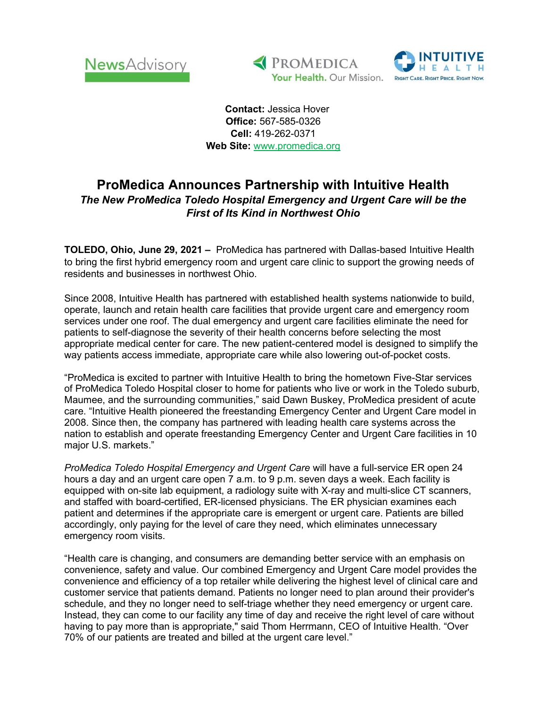





 Contact: Jessica Hover Office: 567-585-0326 Cell: 419-262-0371 Web Site: www.promedica.org

## ProMedica Announces Partnership with Intuitive Health The New ProMedica Toledo Hospital Emergency and Urgent Care will be the First of Its Kind in Northwest Ohio

TOLEDO, Ohio, June 29, 2021 – ProMedica has partnered with Dallas-based Intuitive Health to bring the first hybrid emergency room and urgent care clinic to support the growing needs of residents and businesses in northwest Ohio.

Since 2008, Intuitive Health has partnered with established health systems nationwide to build, operate, launch and retain health care facilities that provide urgent care and emergency room services under one roof. The dual emergency and urgent care facilities eliminate the need for patients to self-diagnose the severity of their health concerns before selecting the most appropriate medical center for care. The new patient-centered model is designed to simplify the way patients access immediate, appropriate care while also lowering out-of-pocket costs.

"ProMedica is excited to partner with Intuitive Health to bring the hometown Five-Star services of ProMedica Toledo Hospital closer to home for patients who live or work in the Toledo suburb, Maumee, and the surrounding communities," said Dawn Buskey, ProMedica president of acute care. "Intuitive Health pioneered the freestanding Emergency Center and Urgent Care model in 2008. Since then, the company has partnered with leading health care systems across the nation to establish and operate freestanding Emergency Center and Urgent Care facilities in 10 major U.S. markets."

ProMedica Toledo Hospital Emergency and Urgent Care will have a full-service ER open 24 hours a day and an urgent care open 7 a.m. to 9 p.m. seven days a week. Each facility is equipped with on-site lab equipment, a radiology suite with X-ray and multi-slice CT scanners, and staffed with board-certified, ER-licensed physicians. The ER physician examines each patient and determines if the appropriate care is emergent or urgent care. Patients are billed accordingly, only paying for the level of care they need, which eliminates unnecessary emergency room visits.

"Health care is changing, and consumers are demanding better service with an emphasis on convenience, safety and value. Our combined Emergency and Urgent Care model provides the convenience and efficiency of a top retailer while delivering the highest level of clinical care and customer service that patients demand. Patients no longer need to plan around their provider's schedule, and they no longer need to self-triage whether they need emergency or urgent care. Instead, they can come to our facility any time of day and receive the right level of care without having to pay more than is appropriate," said Thom Herrmann, CEO of Intuitive Health. "Over 70% of our patients are treated and billed at the urgent care level."